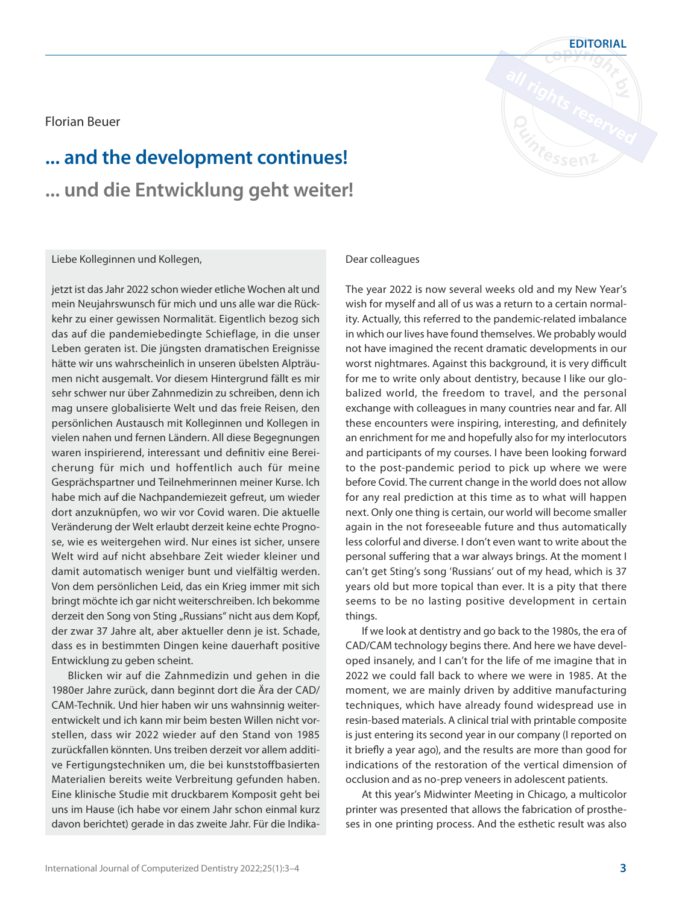Florian Beuer

## **... and the development continues! ... und die Entwicklung geht weiter!**

Liebe Kolleginnen und Kollegen,

jetzt ist das Jahr 2022 schon wieder etliche Wochen alt und mein Neujahrswunsch für mich und uns alle war die Rückkehr zu einer gewissen Normalität. Eigentlich bezog sich das auf die pandemiebedingte Schieflage, in die unser Leben geraten ist. Die jüngsten dramatischen Ereignisse hätte wir uns wahrscheinlich in unseren übelsten Alpträumen nicht ausgemalt. Vor diesem Hintergrund fällt es mir sehr schwer nur über Zahnmedizin zu schreiben, denn ich mag unsere globalisierte Welt und das freie Reisen, den persönlichen Austausch mit Kolleginnen und Kollegen in vielen nahen und fernen Ländern. All diese Begegnungen waren inspirierend, interessant und definitiv eine Bereicherung für mich und hoffentlich auch für meine Gesprächspartner und Teilnehmerinnen meiner Kurse. Ich habe mich auf die Nachpandemiezeit gefreut, um wieder dort anzuknüpfen, wo wir vor Covid waren. Die aktuelle Veränderung der Welt erlaubt derzeit keine echte Prognose, wie es weitergehen wird. Nur eines ist sicher, unsere Welt wird auf nicht absehbare Zeit wieder kleiner und damit automatisch weniger bunt und vielfältig werden. Von dem persönlichen Leid, das ein Krieg immer mit sich bringt möchte ich gar nicht weiterschreiben. Ich bekomme derzeit den Song von Sting "Russians" nicht aus dem Kopf, der zwar 37 Jahre alt, aber aktueller denn je ist. Schade, dass es in bestimmten Dingen keine dauerhaft positive Entwicklung zu geben scheint.

Blicken wir auf die Zahnmedizin und gehen in die 1980er Jahre zurück, dann beginnt dort die Ära der CAD/ CAM-Technik. Und hier haben wir uns wahnsinnig weiterentwickelt und ich kann mir beim besten Willen nicht vorstellen, dass wir 2022 wieder auf den Stand von 1985 zurückfallen könnten. Uns treiben derzeit vor allem additive Fertigungstechniken um, die bei kunststoffbasierten Materialien bereits weite Verbreitung gefunden haben. Eine klinische Studie mit druckbarem Komposit geht bei uns im Hause (ich habe vor einem Jahr schon einmal kurz davon berichtet) gerade in das zweite Jahr. Für die Indika-

## Dear colleagues

The year 2022 is now several weeks old and my New Year's wish for myself and all of us was a return to a certain normality. Actually, this referred to the pandemic-related imbalance in which our lives have found themselves. We probably would not have imagined the recent dramatic developments in our worst nightmares. Against this background, it is very difficult for me to write only about dentistry, because I like our globalized world, the freedom to travel, and the personal exchange with colleagues in many countries near and far. All these encounters were inspiring, interesting, and definitely an enrichment for me and hopefully also for my interlocutors and participants of my courses. I have been looking forward to the post-pandemic period to pick up where we were before Covid. The current change in the world does not allow for any real prediction at this time as to what will happen next. Only one thing is certain, our world will become smaller again in the not foreseeable future and thus automatically less colorful and diverse. I don't even want to write about the personal suffering that a war always brings. At the moment I can't get Sting's song 'Russians' out of my head, which is 37 years old but more topical than ever. It is a pity that there seems to be no lasting positive development in certain things.

If we look at dentistry and go back to the 1980s, the era of CAD/CAM technology begins there. And here we have developed insanely, and I can't for the life of me imagine that in 2022 we could fall back to where we were in 1985. At the moment, we are mainly driven by additive manufacturing techniques, which have already found widespread use in resin-based materials. A clinical trial with printable composite is just entering its second year in our company (I reported on it briefly a year ago), and the results are more than good for indications of the restoration of the vertical dimension of occlusion and as no-prep veneers in adolescent patients.

At this year's Midwinter Meeting in Chicago, a multicolor printer was presented that allows the fabrication of prostheses in one printing process. And the esthetic result was also